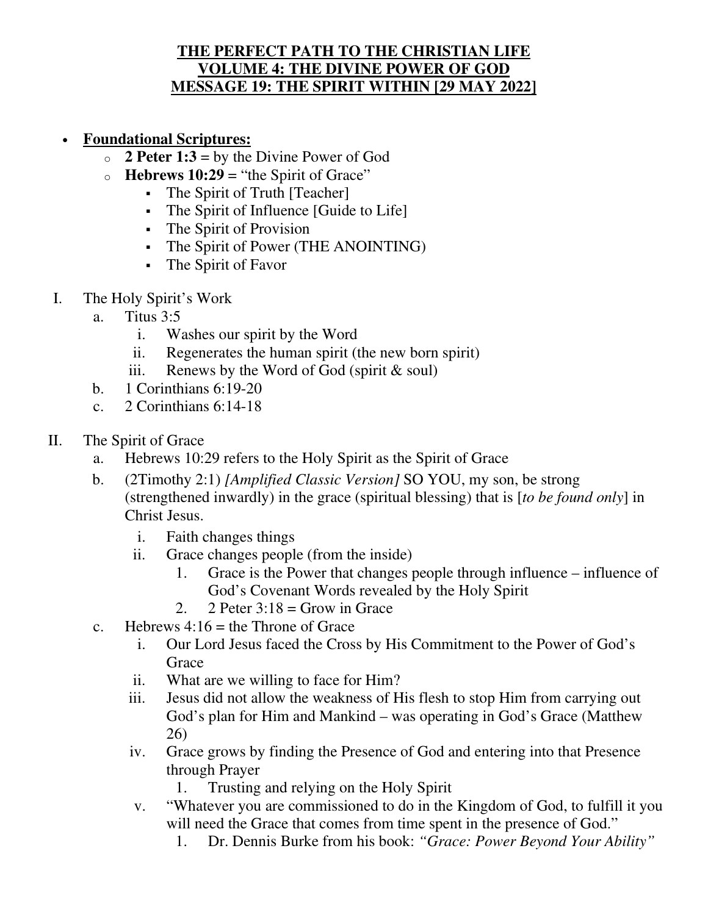## **THE PERFECT PATH TO THE CHRISTIAN LIFE VOLUME 4: THE DIVINE POWER OF GOD MESSAGE 19: THE SPIRIT WITHIN [29 MAY 2022]**

- **Foundational Scriptures:**
	- $\circ$  **2 Peter 1:3** = by the Divine Power of God
	- $\circ$  **Hebrews 10:29** = "the Spirit of Grace"
		- The Spirit of Truth [Teacher]
		- The Spirit of Influence [Guide to Life]
		- The Spirit of Provision
		- The Spirit of Power (THE ANOINTING)
		- The Spirit of Favor
- I. The Holy Spirit's Work
	- a. Titus 3:5
		- i. Washes our spirit by the Word
		- ii. Regenerates the human spirit (the new born spirit)
		- iii. Renews by the Word of God (spirit  $&$  soul)
	- b. 1 Corinthians 6:19-20
	- c. 2 Corinthians 6:14-18
- II. The Spirit of Grace
	- a. Hebrews 10:29 refers to the Holy Spirit as the Spirit of Grace
	- b. (2Timothy 2:1) *[Amplified Classic Version]* SO YOU, my son, be strong (strengthened inwardly) in the grace (spiritual blessing) that is [*to be found only*] in Christ Jesus.
		- i. Faith changes things
		- ii. Grace changes people (from the inside)
			- 1. Grace is the Power that changes people through influence influence of God's Covenant Words revealed by the Holy Spirit
			- 2. 2 Peter  $3:18 =$  Grow in Grace
	- c. Hebrews  $4:16$  = the Throne of Grace
		- i. Our Lord Jesus faced the Cross by His Commitment to the Power of God's **Grace**
		- ii. What are we willing to face for Him?
		- iii. Jesus did not allow the weakness of His flesh to stop Him from carrying out God's plan for Him and Mankind – was operating in God's Grace (Matthew 26)
		- iv. Grace grows by finding the Presence of God and entering into that Presence through Prayer
			- 1. Trusting and relying on the Holy Spirit
		- v. "Whatever you are commissioned to do in the Kingdom of God, to fulfill it you will need the Grace that comes from time spent in the presence of God."
			- 1. Dr. Dennis Burke from his book: *"Grace: Power Beyond Your Ability"*